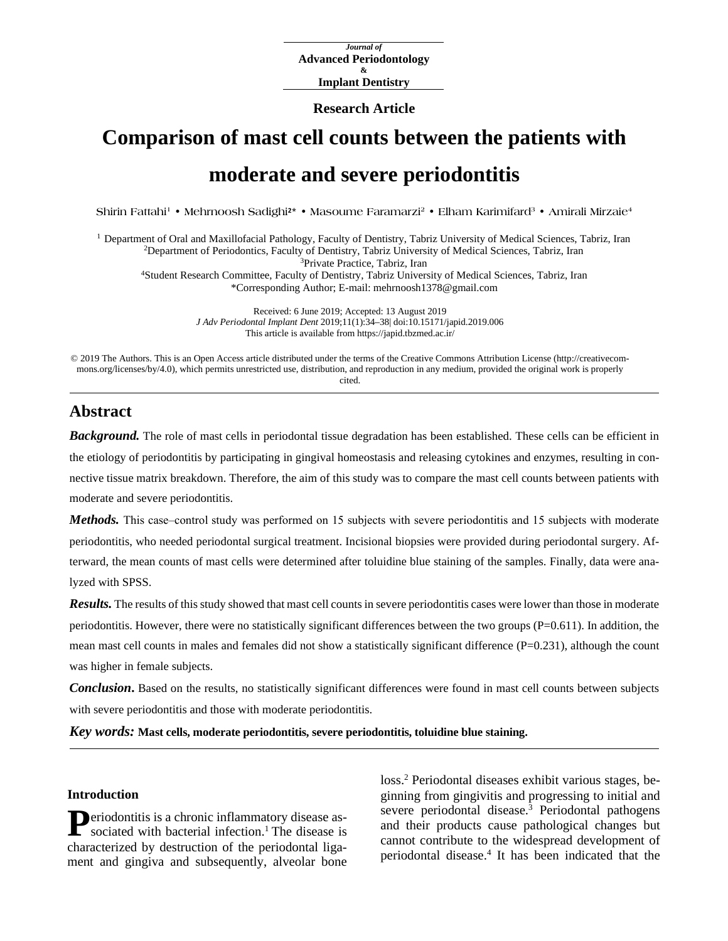*Journal of* **Advanced Periodontology & Implant Dentistry**

#### **Research Article**

# **Comparison of mast cell counts between the patients with moderate and severe periodontitis**

**Shirin Fattahi1 • Mehrnoosh Sadighi2\* • Masoume Faramarzi2 • Elham Karimifard<sup>3</sup> • Amirali Mirzaie<sup>4</sup>**

<sup>1</sup> Department of Oral and Maxillofacial Pathology, Faculty of Dentistry, Tabriz University of Medical Sciences, Tabriz, Iran 2Department of Periodontics, Faculty of Dentistry, Tabriz University of Medical Sciences, Tabriz, Iran 3Private Practice, Tabriz, Iran 4Student Research Committee, Faculty of Dentistry, Tabriz University of Medical Sciences, Tabriz, Iran \*Corresponding Author; E-mail: [mehrnoosh1378@gmail.com](mailto:mehrnoosh1378@gmail.com)

> Received: 6 June 2019; Accepted: 13 August 2019 *J Adv Periodontal Implant Dent* 2019;11(1):34–38[| doi:10.15171/japid.2019.006](http://dx.doi.org/10.15171/japid.2019.006) This article is available from https://japid.tbzmed.ac.ir/

© 2019 The Authors. This is an Open Access article distributed under the terms of the Creative Commons Attribution License (http://creativecommons.org/licenses/by/4.0), which permits unrestricted use, distribution, and reproduction in any medium, provided the original work is properly cited.

## **Abstract**

*Background*. The role of mast cells in periodontal tissue degradation has been established. These cells can be efficient in the etiology of periodontitis by participating in gingival homeostasis and releasing cytokines and enzymes, resulting in connective tissue matrix breakdown. Therefore, the aim of this study was to compare the mast cell counts between patients with moderate and severe periodontitis.

*Methods*. This case–control study was performed on 15 subjects with severe periodontitis and 15 subjects with moderate periodontitis, who needed periodontal surgical treatment. Incisional biopsies were provided during periodontal surgery. Afterward, the mean counts of mast cells were determined after toluidine blue staining of the samples. Finally, data were analyzed with SPSS.

*Results.* The results of this study showed that mast cell counts in severe periodontitis cases were lower than those in moderate periodontitis. However, there were no statistically significant differences between the two groups  $(P=0.611)$ . In addition, the mean mast cell counts in males and females did not show a statistically significant difference (P=0.231), although the count was higher in female subjects.

*Conclusion*. Based on the results, no statistically significant differences were found in mast cell counts between subjects with severe periodontitis and those with moderate periodontitis.

*Key words:* **Mast cells, moderate periodontitis, severe periodontitis, toluidine blue staining.**

## **Introduction**

**Deriodontitis is a chronic inflammatory disease as-P**eriodontitis is a chronic inflammatory disease associated with bacterial infection.<sup>1</sup> The disease is characterized by destruction of the periodontal ligament and gingiva and subsequently, alveolar bone

loss. <sup>2</sup> Periodontal diseases exhibit various stages, beginning from gingivitis and progressing to initial and severe periodontal disease. <sup>3</sup> Periodontal pathogens and their products cause pathological changes but cannot contribute to the widespread development of periodontal disease. <sup>4</sup> It has been indicated that the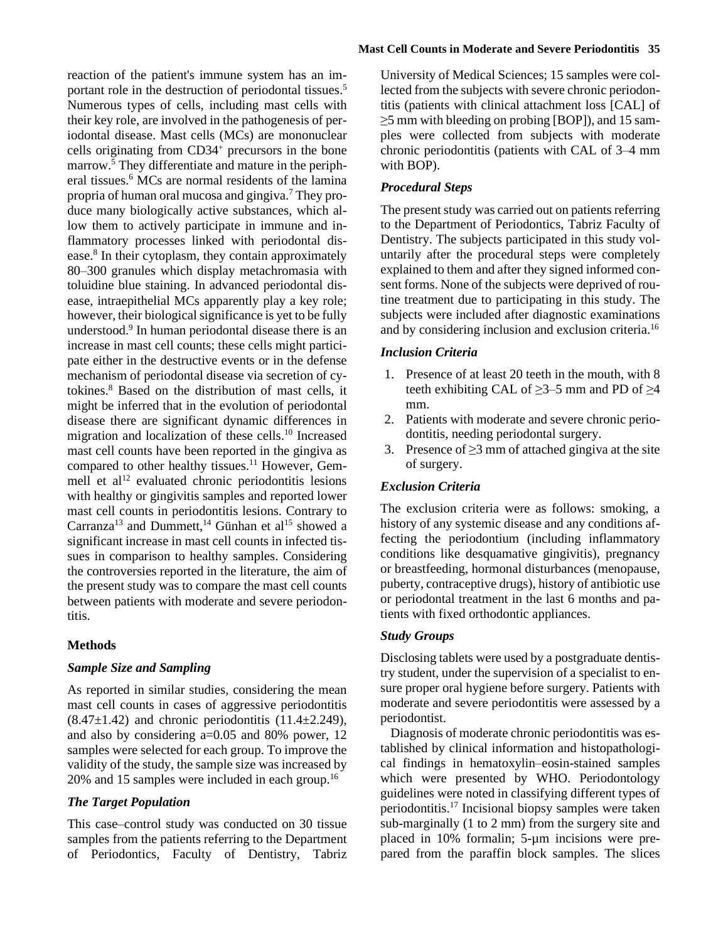reaction of the patient's immune system has an important role in the destruction of periodontal tissues. 5 Numerous types of cells, including mast cells with their key role, are involved in the pathogenesis of periodontal disease. Mast cells (MCs) are mononuclear cells originating from CD34+ precursors in the bone marrow. <sup>5</sup> They differentiate and mature in the peripheral tissues. <sup>6</sup> MCs are normal residents of the lamina propria of human oral mucosa and gingiva. <sup>7</sup> They produce many biologically active substances, which allow them to actively participate in immune and inflammatory processes linked with periodontal disease. <sup>8</sup> In their cytoplasm, they contain approximately 80‒300 granules which display metachromasia with toluidine blue staining. In advanced periodontal disease, intraepithelial MCs apparently play a key role; however, their biological significance is yet to be fully understood. <sup>9</sup> In human periodontal disease there is an increase in mast cell counts; these cells might participate either in the destructive events or in the defense mechanism of periodontal disease via secretion of cytokines. <sup>8</sup> Based on the distribution of mast cells, it might be inferred that in the evolution of periodontal disease there are significant dynamic differences in migration and localization of these cells. <sup>10</sup> Increased mast cell counts have been reported in the gingiva as compared to other healthy tissues.<sup>11</sup> However, Gemmell et  $al<sup>12</sup>$  evaluated chronic periodontitis lesions with healthy or gingivitis samples and reported lower mast cell counts in periodontitis lesions. Contrary to Carranza<sup>13</sup> and Dummett,<sup>14</sup> Günhan et al<sup>15</sup> showed a significant increase in mast cell counts in infected tissues in comparison to healthy samples. Considering the controversies reported in the literature, the aim of the present study was to compare the mast cell counts between patients with moderate and severe periodontitis.

## **Methods**

## *Sample Size and Sampling*

As reported in similar studies, considering the mean mast cell counts in cases of aggressive periodontitis  $(8.47\pm1.42)$  and chronic periodontitis  $(11.4\pm2.249)$ , and also by considering a=0.05 and 80% power, 12 samples were selected for each group. To improve the validity of the study, the sample size was increased by 20% and 15 samples were included in each group.<sup>16</sup>

## *The Target Population*

This case–control study was conducted on 30 tissue samples from the patients referring to the Department of Periodontics, Faculty of Dentistry, Tabriz

#### **Mast Cell Counts in Moderate and Severe Periodontitis 35**

University of Medical Sciences; 15 samples were collected from the subjects with severe chronic periodontitis (patients with clinical attachment loss [CAL] of ≥5 mm with bleeding on probing [BOP]), and 15 samples were collected from subjects with moderate chronic periodontitis (patients with CAL of 3–4 mm with BOP).

## *Procedural Steps*

The present study was carried out on patients referring to the Department of Periodontics, Tabriz Faculty of Dentistry. The subjects participated in this study voluntarily after the procedural steps were completely explained to them and after they signed informed consent forms. None of the subjects were deprived of routine treatment due to participating in this study. The subjects were included after diagnostic examinations and by considering inclusion and exclusion criteria.<sup>16</sup>

#### *Inclusion Criteria*

- 1. Presence of at least 20 teeth in the mouth, with 8 teeth exhibiting CAL of  $\geq$ 3–5 mm and PD of  $\geq$ 4 mm.
- 2. Patients with moderate and severe chronic periodontitis, needing periodontal surgery.
- 3. Presence of  $\geq$ 3 mm of attached gingiva at the site of surgery.

## *Exclusion Criteria*

The exclusion criteria were as follows: smoking, a history of any systemic disease and any conditions affecting the periodontium (including inflammatory conditions like desquamative gingivitis), pregnancy or breastfeeding, hormonal disturbances (menopause, puberty, contraceptive drugs), history of antibiotic use or periodontal treatment in the last 6 months and patients with fixed orthodontic appliances.

#### *Study Groups*

Disclosing tablets were used by a postgraduate dentistry student, under the supervision of a specialist to ensure proper oral hygiene before surgery. Patients with moderate and severe periodontitis were assessed by a periodontist.

Diagnosis of moderate chronic periodontitis was established by clinical information and histopathological findings in hematoxylin-eosin-stained samples which were presented by WHO. Periodontology guidelines were noted in classifying different types of periodontitis.17 Incisional biopsy samples were taken sub-marginally (1 to 2 mm) from the surgery site and placed in 10% formalin; 5-µm incisions were prepared from the paraffin block samples. The slices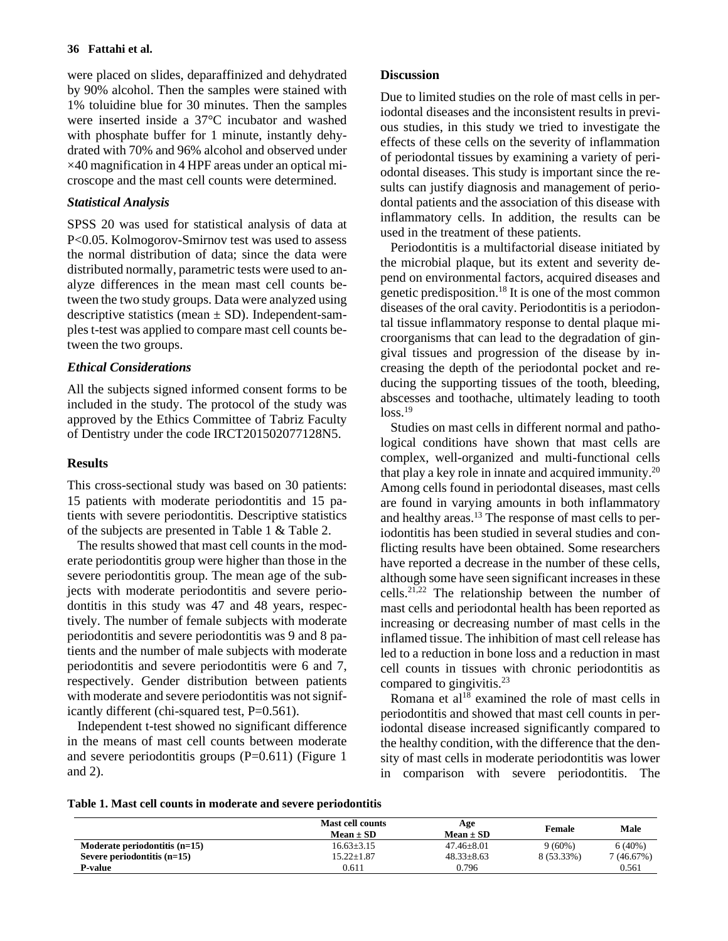#### **36 Fattahi et al.**

were placed on slides, deparaffinized and dehydrated by 90% alcohol. Then the samples were stained with 1% toluidine blue for 30 minutes. Then the samples were inserted inside a 37°C incubator and washed with phosphate buffer for 1 minute, instantly dehydrated with 70% and 96% alcohol and observed under  $\times$ 40 magnification in 4 HPF areas under an optical microscope and the mast cell counts were determined.

## *Statistical Analysis*

SPSS 20 was used for statistical analysis of data at P<0.05. Kolmogorov-Smirnov test was used to assess the normal distribution of data; since the data were distributed normally, parametric tests were used to analyze differences in the mean mast cell counts between the two study groups. Data were analyzed using descriptive statistics (mean  $\pm$  SD). Independent-samples t-test was applied to compare mast cell counts between the two groups.

## *Ethical Considerations*

All the subjects signed informed consent forms to be included in the study. The protocol of the study was approved by the Ethics Committee of Tabriz Faculty of Dentistry under the code IRCT201502077128N5.

## **Results**

This cross-sectional study was based on 30 patients: 15 patients with moderate periodontitis and 15 patients with severe periodontitis. Descriptive statistics of the subjects are presented in Table 1 & Table 2.

The results showed that mast cell counts in the moderate periodontitis group were higher than those in the severe periodontitis group. The mean age of the subjects with moderate periodontitis and severe periodontitis in this study was 47 and 48 years, respectively. The number of female subjects with moderate periodontitis and severe periodontitis was 9 and 8 patients and the number of male subjects with moderate periodontitis and severe periodontitis were 6 and 7, respectively. Gender distribution between patients with moderate and severe periodontitis was not significantly different (chi-squared test, P=0.561).

Independent t-test showed no significant difference in the means of mast cell counts between moderate and severe periodontitis groups  $(P=0.611)$  (Figure 1) and 2).

## **Discussion**

Due to limited studies on the role of mast cells in periodontal diseases and the inconsistent results in previous studies, in this study we tried to investigate the effects of these cells on the severity of inflammation of periodontal tissues by examining a variety of periodontal diseases. This study is important since the results can justify diagnosis and management of periodontal patients and the association of this disease with inflammatory cells. In addition, the results can be used in the treatment of these patients.

Periodontitis is a multifactorial disease initiated by the microbial plaque, but its extent and severity depend on environmental factors, acquired diseases and genetic predisposition. <sup>18</sup> It is one of the most common diseases of the oral cavity. Periodontitis is a periodontal tissue inflammatory response to dental plaque microorganisms that can lead to the degradation of gingival tissues and progression of the disease by increasing the depth of the periodontal pocket and reducing the supporting tissues of the tooth, bleeding, abscesses and toothache, ultimately leading to tooth  $loss.<sup>19</sup>$ 

Studies on mast cells in different normal and pathological conditions have shown that mast cells are complex, well-organized and multi-functional cells that play a key role in innate and acquired immunity.<sup>20</sup> Among cells found in periodontal diseases, mast cells are found in varying amounts in both inflammatory and healthy areas. <sup>13</sup> The response of mast cells to periodontitis has been studied in several studies and conflicting results have been obtained. Some researchers have reported a decrease in the number of these cells, although some have seen significant increases in these cells. 21,22 The relationship between the number of mast cells and periodontal health has been reported as increasing or decreasing number of mast cells in the inflamed tissue. The inhibition of mast cell release has led to a reduction in bone loss and a reduction in mast cell counts in tissues with chronic periodontitis as compared to gingivitis. 23

Romana et  $al^{18}$  examined the role of mast cells in periodontitis and showed that mast cell counts in periodontal disease increased significantly compared to the healthy condition, with the difference that the density of mast cells in moderate periodontitis was lower in comparison with severe periodontitis. The

|  |  |  |  |  | Table 1. Mast cell counts in moderate and severe periodontitis |  |  |  |
|--|--|--|--|--|----------------------------------------------------------------|--|--|--|
|--|--|--|--|--|----------------------------------------------------------------|--|--|--|

|                                 | <b>Mast cell counts</b><br>$Mean \pm SD$ | Age<br>$Mean \pm SD$ | Female     | Male       |
|---------------------------------|------------------------------------------|----------------------|------------|------------|
| Moderate periodontitis $(n=15)$ | $16.63 \pm 3.15$                         | $47.46 \pm 8.01$     | $9(60\%)$  | 6(40%)     |
| Severe periodontitis $(n=15)$   | $15.22{\pm}1.87$                         | $48.33 + 8.63$       | 8 (53.33%) | 7 (46.67%) |
| P-value                         | 0.611                                    | 0.796                |            | 0.561      |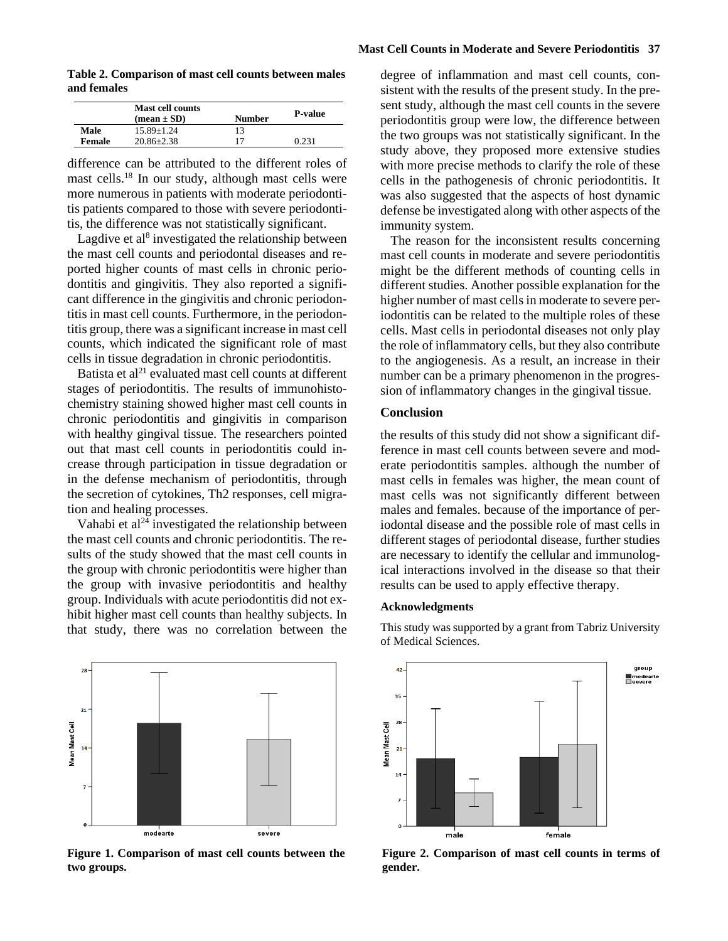**Mast Cell Counts in Moderate and Severe Periodontitis 37**

**Table 2. Comparison of mast cell counts between males and females**

|        | <b>Mast cell counts</b><br>$(\text{mean} \pm \text{SD})$ | Number | <b>P-value</b> |
|--------|----------------------------------------------------------|--------|----------------|
| Male   | $15.89 + 1.24$                                           | 13     |                |
| Female | $20.86 + 2.38$                                           | 17     | 0.231          |

difference can be attributed to the different roles of mast cells. <sup>18</sup> In our study, although mast cells were more numerous in patients with moderate periodontitis patients compared to those with severe periodontitis, the difference was not statistically significant.

Lagdive et al<sup>8</sup> investigated the relationship between the mast cell counts and periodontal diseases and reported higher counts of mast cells in chronic periodontitis and gingivitis. They also reported a significant difference in the gingivitis and chronic periodontitis in mast cell counts. Furthermore, in the periodontitis group, there was a significant increase in mast cell counts, which indicated the significant role of mast cells in tissue degradation in chronic periodontitis.

Batista et  $al<sup>21</sup>$  evaluated mast cell counts at different stages of periodontitis. The results of immunohistochemistry staining showed higher mast cell counts in chronic periodontitis and gingivitis in comparison with healthy gingival tissue. The researchers pointed out that mast cell counts in periodontitis could increase through participation in tissue degradation or in the defense mechanism of periodontitis, through the secretion of cytokines, Th2 responses, cell migration and healing processes.

Vahabi et  $al^{24}$  investigated the relationship between the mast cell counts and chronic periodontitis. The results of the study showed that the mast cell counts in the group with chronic periodontitis were higher than the group with invasive periodontitis and healthy group. Individuals with acute periodontitis did not exhibit higher mast cell counts than healthy subjects. In that study, there was no correlation between the



**Figure 1. Comparison of mast cell counts between the two groups.**

degree of inflammation and mast cell counts, consistent with the results of the present study. In the present study, although the mast cell counts in the severe periodontitis group were low, the difference between the two groups was not statistically significant. In the study above, they proposed more extensive studies with more precise methods to clarify the role of these cells in the pathogenesis of chronic periodontitis. It was also suggested that the aspects of host dynamic defense be investigated along with other aspects of the immunity system.

The reason for the inconsistent results concerning mast cell counts in moderate and severe periodontitis might be the different methods of counting cells in different studies. Another possible explanation for the higher number of mast cells in moderate to severe periodontitis can be related to the multiple roles of these cells. Mast cells in periodontal diseases not only play the role of inflammatory cells, but they also contribute to the angiogenesis. As a result, an increase in their number can be a primary phenomenon in the progression of inflammatory changes in the gingival tissue.

## **Conclusion**

the results of this study did not show a significant difference in mast cell counts between severe and moderate periodontitis samples. although the number of mast cells in females was higher, the mean count of mast cells was not significantly different between males and females. because of the importance of periodontal disease and the possible role of mast cells in different stages of periodontal disease, further studies are necessary to identify the cellular and immunological interactions involved in the disease so that their results can be used to apply effective therapy.

#### **Acknowledgments**

This study was supported by a grant from Tabriz University of Medical Sciences.



**Figure 2. Comparison of mast cell counts in terms of gender.**